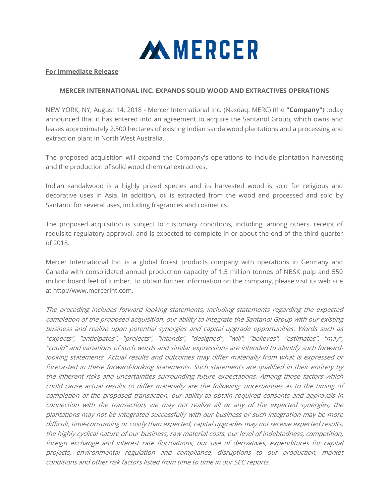

## **For Immediate Release**

## **MERCER INTERNATIONAL INC. EXPANDS SOLID WOOD AND EXTRACTIVES OPERATIONS**

NEW YORK, NY, August 14, 2018 - Mercer International Inc. (Nasdaq: MERC) (the **"Company"**) today announced that it has entered into an agreement to acquire the Santanol Group, which owns and leases approximately 2,500 hectares of existing Indian sandalwood plantations and a processing and extraction plant in North West Australia.

The proposed acquisition will expand the Company's operations to include plantation harvesting and the production of solid wood chemical extractives.

Indian sandalwood is a highly prized species and its harvested wood is sold for religious and decorative uses in Asia. In addition, oil is extracted from the wood and processed and sold by Santanol for several uses, including fragrances and cosmetics.

The proposed acquisition is subject to customary conditions, including, among others, receipt of requisite regulatory approval, and is expected to complete in or about the end of the third quarter of 2018.

Mercer International Inc. is a global forest products company with operations in Germany and Canada with consolidated annual production capacity of 1.5 million tonnes of NBSK pulp and 550 million board feet of lumber. To obtain further information on the company, please visit its web site at http://www.mercerint.com.

The preceding includes forward looking statements, including statements regarding the expected completion of the proposed acquisition, our ability to integrate the Santanol Group with our existing business and realize upon potential synergies and capital upgrade opportunities. Words such as "expects", "anticipates", "projects", "intends", "designed", "will", "believes", "estimates", "may", "could" and variations of such words and similar expressions are intended to identify such forwardlooking statements. Actual results and outcomes may differ materially from what is expressed or forecasted in these forward-looking statements. Such statements are qualified in their entirety by the inherent risks and uncertainties surrounding future expectations. Among those factors which could cause actual results to differ materially are the following: uncertainties as to the timing of completion of the proposed transaction, our ability to obtain required consents and approvals in connection with the transaction, we may not realize all or any of the expected synergies, the plantations may not be integrated successfully with our business or such integration may be more difficult, time-consuming or costly than expected, capital upgrades may not receive expected results, the highly cyclical nature of our business, raw material costs, our level of indebtedness, competition, foreign exchange and interest rate fluctuations, our use of derivatives, expenditures for capital projects, environmental regulation and compliance, disruptions to our production, market conditions and other risk factors listed from time to time in our SEC reports.